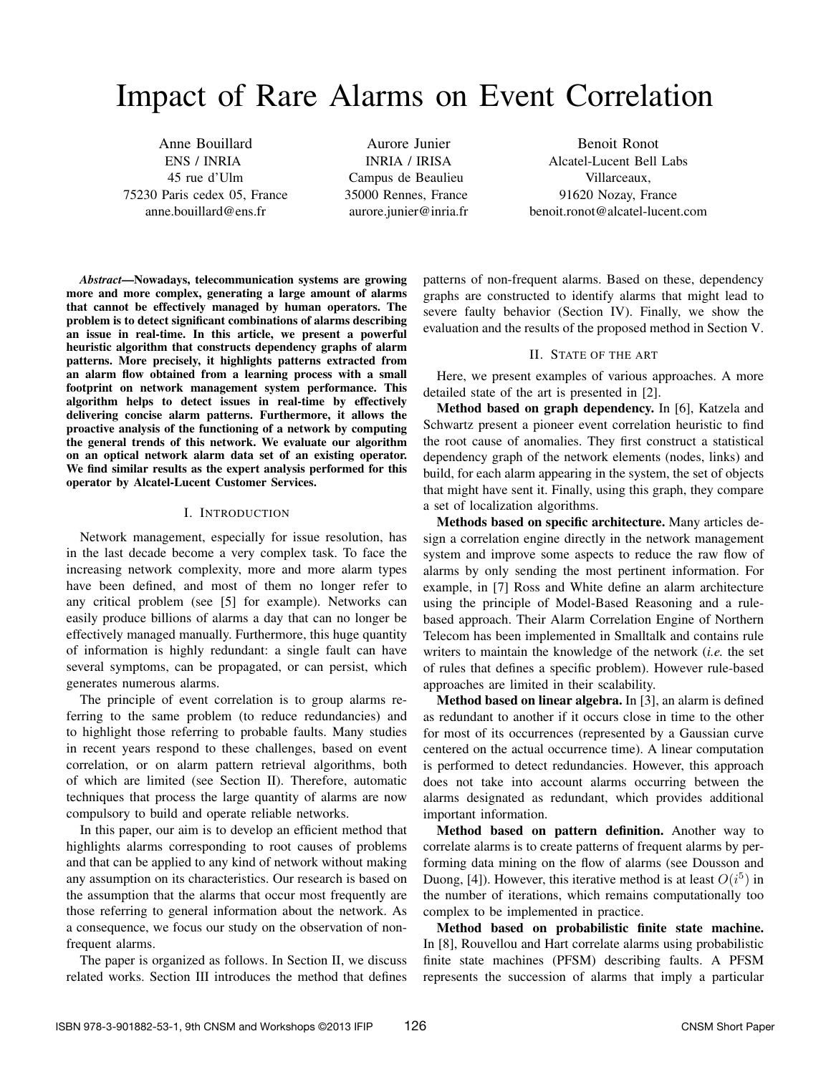# Impact of Rare Alarms on Event Correlation

Anne Bouillard ENS / INRIA 45 rue d'Ulm 75230 Paris cedex 05, France anne.bouillard@ens.fr

Aurore Junier INRIA / IRISA Campus de Beaulieu 35000 Rennes, France aurore.junier@inria.fr

Benoit Ronot Alcatel-Lucent Bell Labs Villarceaux, 91620 Nozay, France benoit.ronot@alcatel-lucent.com

*Abstract*—Nowadays, telecommunication systems are growing more and more complex, generating a large amount of alarms that cannot be effectively managed by human operators. The problem is to detect significant combinations of alarms describing an issue in real-time. In this article, we present a powerful heuristic algorithm that constructs dependency graphs of alarm patterns. More precisely, it highlights patterns extracted from an alarm flow obtained from a learning process with a small footprint on network management system performance. This algorithm helps to detect issues in real-time by effectively delivering concise alarm patterns. Furthermore, it allows the proactive analysis of the functioning of a network by computing the general trends of this network. We evaluate our algorithm on an optical network alarm data set of an existing operator. We find similar results as the expert analysis performed for this operator by Alcatel-Lucent Customer Services.

#### I. INTRODUCTION

Network management, especially for issue resolution, has in the last decade become a very complex task. To face the increasing network complexity, more and more alarm types have been defined, and most of them no longer refer to any critical problem (see [5] for example). Networks can easily produce billions of alarms a day that can no longer be effectively managed manually. Furthermore, this huge quantity of information is highly redundant: a single fault can have several symptoms, can be propagated, or can persist, which generates numerous alarms.

The principle of event correlation is to group alarms referring to the same problem (to reduce redundancies) and to highlight those referring to probable faults. Many studies in recent years respond to these challenges, based on event correlation, or on alarm pattern retrieval algorithms, both of which are limited (see Section II). Therefore, automatic techniques that process the large quantity of alarms are now compulsory to build and operate reliable networks.

In this paper, our aim is to develop an efficient method that highlights alarms corresponding to root causes of problems and that can be applied to any kind of network without making any assumption on its characteristics. Our research is based on the assumption that the alarms that occur most frequently are those referring to general information about the network. As a consequence, we focus our study on the observation of nonfrequent alarms.

The paper is organized as follows. In Section II, we discuss related works. Section III introduces the method that defines patterns of non-frequent alarms. Based on these, dependency graphs are constructed to identify alarms that might lead to severe faulty behavior (Section IV). Finally, we show the evaluation and the results of the proposed method in Section V.

# II. STATE OF THE ART

Here, we present examples of various approaches. A more detailed state of the art is presented in [2].

Method based on graph dependency. In [6], Katzela and Schwartz present a pioneer event correlation heuristic to find the root cause of anomalies. They first construct a statistical dependency graph of the network elements (nodes, links) and build, for each alarm appearing in the system, the set of objects that might have sent it. Finally, using this graph, they compare a set of localization algorithms.

Methods based on specific architecture. Many articles design a correlation engine directly in the network management system and improve some aspects to reduce the raw flow of alarms by only sending the most pertinent information. For example, in [7] Ross and White define an alarm architecture using the principle of Model-Based Reasoning and a rulebased approach. Their Alarm Correlation Engine of Northern Telecom has been implemented in Smalltalk and contains rule writers to maintain the knowledge of the network (*i.e.* the set of rules that defines a specific problem). However rule-based approaches are limited in their scalability.

Method based on linear algebra. In [3], an alarm is defined as redundant to another if it occurs close in time to the other for most of its occurrences (represented by a Gaussian curve centered on the actual occurrence time). A linear computation is performed to detect redundancies. However, this approach does not take into account alarms occurring between the alarms designated as redundant, which provides additional important information.

Method based on pattern definition. Another way to correlate alarms is to create patterns of frequent alarms by performing data mining on the flow of alarms (see Dousson and Duong, [4]). However, this iterative method is at least  $O(i^5)$  in the number of iterations, which remains computationally too complex to be implemented in practice.

Method based on probabilistic finite state machine. In [8], Rouvellou and Hart correlate alarms using probabilistic finite state machines (PFSM) describing faults. A PFSM represents the succession of alarms that imply a particular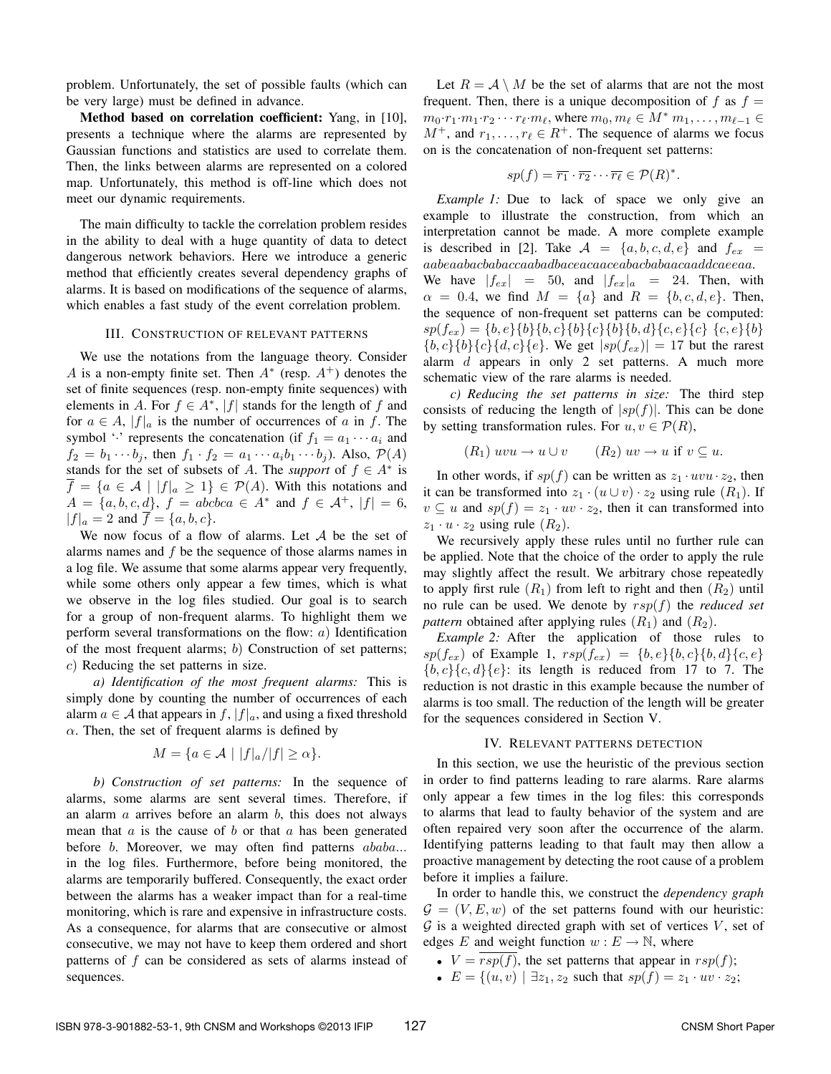problem. Unfortunately, the set of possible faults (which can be very large) must be defined in advance.

Method based on correlation coefficient: Yang, in [10], presents a technique where the alarms are represented by Gaussian functions and statistics are used to correlate them. Then, the links between alarms are represented on a colored map. Unfortunately, this method is off-line which does not meet our dynamic requirements.

The main difficulty to tackle the correlation problem resides in the ability to deal with a huge quantity of data to detect dangerous network behaviors. Here we introduce a generic method that efficiently creates several dependency graphs of alarms. It is based on modifications of the sequence of alarms, which enables a fast study of the event correlation problem.

### III. CONSTRUCTION OF RELEVANT PATTERNS

We use the notations from the language theory. Consider A is a non-empty finite set. Then  $A^*$  (resp.  $A^+$ ) denotes the set of finite sequences (resp. non-empty finite sequences) with elements in A. For  $f \in A^*$ , |f| stands for the length of f and for  $a \in A$ ,  $|f|_a$  is the number of occurrences of a in f. The symbol '·' represents the concatenation (if  $f_1 = a_1 \cdots a_i$  and  $f_2 = b_1 \cdots b_j$ , then  $f_1 \cdot f_2 = a_1 \cdots a_i b_1 \cdots b_j$ . Also,  $\mathcal{P}(A)$ stands for the set of subsets of A. The *support* of  $f \in A^*$  is  $f = \{a \in \mathcal{A} \mid |f|_a \geq 1\} \in \mathcal{P}(A)$ . With this notations and  $A = \{a, b, c, d\}, f = abcbca \in A^* \text{ and } f \in A^+, |f| = 6,$  $|f|_a = 2$  and  $f = \{a, b, c\}.$ 

We now focus of a flow of alarms. Let  $A$  be the set of alarms names and  $f$  be the sequence of those alarms names in a log file. We assume that some alarms appear very frequently, while some others only appear a few times, which is what we observe in the log files studied. Our goal is to search for a group of non-frequent alarms. To highlight them we perform several transformations on the flow:  $a$ ) Identification of the most frequent alarms;  $b$ ) Construction of set patterns; c) Reducing the set patterns in size.

*a) Identification of the most frequent alarms:* This is simply done by counting the number of occurrences of each alarm  $a \in \mathcal{A}$  that appears in f,  $|f|_a$ , and using a fixed threshold  $\alpha$ . Then, the set of frequent alarms is defined by

$$
M = \{ a \in \mathcal{A} \mid |f|_a / |f| \ge \alpha \}.
$$

*b) Construction of set patterns:* In the sequence of alarms, some alarms are sent several times. Therefore, if an alarm  $\alpha$  arrives before an alarm  $\beta$ , this does not always mean that  $\alpha$  is the cause of  $\delta$  or that  $\alpha$  has been generated before *b*. Moreover, we may often find patterns *ababa...* in the log files. Furthermore, before being monitored, the alarms are temporarily buffered. Consequently, the exact order between the alarms has a weaker impact than for a real-time monitoring, which is rare and expensive in infrastructure costs. As a consequence, for alarms that are consecutive or almost consecutive, we may not have to keep them ordered and short patterns of  $f$  can be considered as sets of alarms instead of sequences.

Let  $R = A \setminus M$  be the set of alarms that are not the most frequent. Then, there is a unique decomposition of f as  $f =$  $m_0 \cdot r_1 \cdot m_1 \cdot r_2 \cdot \cdot \cdot r_\ell \cdot m_\ell$ , where  $m_0, m_\ell \in M^*$   $m_1, \ldots, m_{\ell-1} \in$  $M^+$ , and  $r_1, \ldots, r_\ell \in R^+$ . The sequence of alarms we focus on is the concatenation of non-frequent set patterns:

$$
sp(f) = \overline{r_1} \cdot \overline{r_2} \cdots \overline{r_\ell} \in \mathcal{P}(R)^*
$$

.

*Example 1:* Due to lack of space we only give an example to illustrate the construction, from which an interpretation cannot be made. A more complete example is described in [2]. Take  $A = \{a, b, c, d, e\}$  and  $f_{ex}$ aabeaabacbabaccaabadbaceacaaceabacbabaacaaddcaeeaa. We have  $|f_{ex}| = 50$ , and  $|f_{ex}| = 24$ . Then, with  $\alpha = 0.4$ , we find  $M = \{a\}$  and  $R = \{b, c, d, e\}$ . Then, the sequence of non-frequent set patterns can be computed:  $sp(f_{ex}) = \{b, e\}\{b\}\{b, c\}\{b\}\{c\}\{b\}\{b, d\}\{c, e\}\{c\}\{c, e\}\{b\}$  ${b, c}{b}$  {b}{c}{d, c}{e}. We get  $|sp(f_{ex})| = 17$  but the rarest alarm d appears in only 2 set patterns. A much more schematic view of the rare alarms is needed.

*c) Reducing the set patterns in size:* The third step consists of reducing the length of  $|sp(f)|$ . This can be done by setting transformation rules. For  $u, v \in \mathcal{P}(R)$ ,

$$
(R_1) uvu \to u \cup v
$$
  $(R_2) uv \to u$  if  $v \subseteq u$ .

In other words, if  $sp(f)$  can be written as  $z_1 \cdot uvu \cdot z_2$ , then it can be transformed into  $z_1 \cdot (u \cup v) \cdot z_2$  using rule  $(R_1)$ . If  $v \subseteq u$  and  $sp(f) = z_1 \cdot uv \cdot z_2$ , then it can transformed into  $z_1 \cdot u \cdot z_2$  using rule  $(R_2)$ .

We recursively apply these rules until no further rule can be applied. Note that the choice of the order to apply the rule may slightly affect the result. We arbitrary chose repeatedly to apply first rule  $(R_1)$  from left to right and then  $(R_2)$  until no rule can be used. We denote by rsp(f) the *reduced set pattern* obtained after applying rules  $(R_1)$  and  $(R_2)$ .

*Example 2:* After the application of those rules to  $s p(f_{ex})$  of Example 1,  $r s p(f_{ex}) = \{b, e\} \{b, c\} \{b, d\} \{c, e\}$  ${b, c}$ {c, d}{e}: its length is reduced from 17 to 7. The reduction is not drastic in this example because the number of alarms is too small. The reduction of the length will be greater for the sequences considered in Section V.

# IV. RELEVANT PATTERNS DETECTION

In this section, we use the heuristic of the previous section in order to find patterns leading to rare alarms. Rare alarms only appear a few times in the log files: this corresponds to alarms that lead to faulty behavior of the system and are often repaired very soon after the occurrence of the alarm. Identifying patterns leading to that fault may then allow a proactive management by detecting the root cause of a problem before it implies a failure.

In order to handle this, we construct the *dependency graph*  $\mathcal{G} = (V, E, w)$  of the set patterns found with our heuristic:  $G$  is a weighted directed graph with set of vertices  $V$ , set of edges E and weight function  $w : E \to \mathbb{N}$ , where

- $V = \overline{rsp(f)}$ , the set patterns that appear in  $rsp(f)$ ;
- $E = \{(u, v) \mid \exists z_1, z_2 \text{ such that } sp(f) = z_1 \cdot uv \cdot z_2;$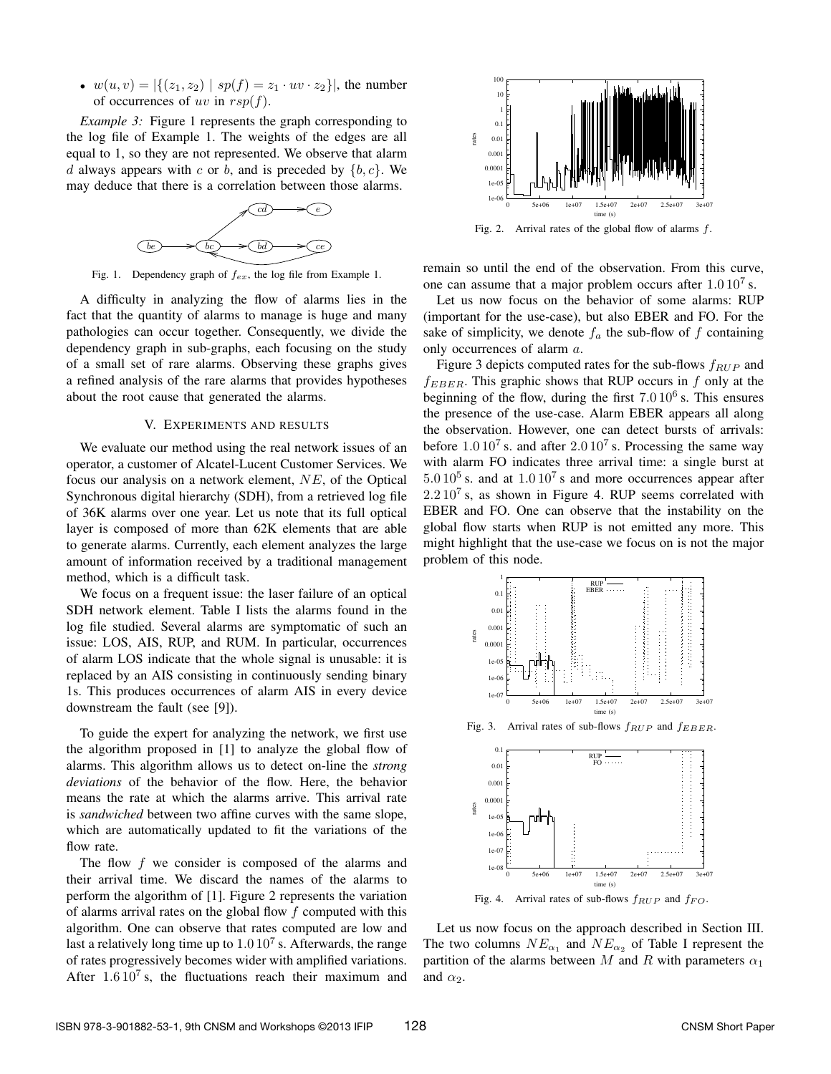•  $w(u, v) = |\{(z_1, z_2) | sp(f) = z_1 \cdot uv \cdot z_2\}|$ , the number of occurrences of uv in  $rsp(f)$ .

*Example 3:* Figure 1 represents the graph corresponding to the log file of Example 1. The weights of the edges are all equal to 1, so they are not represented. We observe that alarm d always appears with c or b, and is preceded by  $\{b, c\}$ . We may deduce that there is a correlation between those alarms.



Fig. 1. Dependency graph of  $f_{ex}$ , the log file from Example 1.

A difficulty in analyzing the flow of alarms lies in the fact that the quantity of alarms to manage is huge and many pathologies can occur together. Consequently, we divide the dependency graph in sub-graphs, each focusing on the study of a small set of rare alarms. Observing these graphs gives a refined analysis of the rare alarms that provides hypotheses about the root cause that generated the alarms.

## V. EXPERIMENTS AND RESULTS

We evaluate our method using the real network issues of an operator, a customer of Alcatel-Lucent Customer Services. We focus our analysis on a network element, NE, of the Optical Synchronous digital hierarchy (SDH), from a retrieved log file of 36K alarms over one year. Let us note that its full optical layer is composed of more than 62K elements that are able to generate alarms. Currently, each element analyzes the large amount of information received by a traditional management method, which is a difficult task.

We focus on a frequent issue: the laser failure of an optical SDH network element. Table I lists the alarms found in the log file studied. Several alarms are symptomatic of such an issue: LOS, AIS, RUP, and RUM. In particular, occurrences of alarm LOS indicate that the whole signal is unusable: it is replaced by an AIS consisting in continuously sending binary 1s. This produces occurrences of alarm AIS in every device downstream the fault (see [9]).

To guide the expert for analyzing the network, we first use the algorithm proposed in [1] to analyze the global flow of alarms. This algorithm allows us to detect on-line the *strong deviations* of the behavior of the flow. Here, the behavior means the rate at which the alarms arrive. This arrival rate is *sandwiched* between two affine curves with the same slope, which are automatically updated to fit the variations of the flow rate.

The flow  $f$  we consider is composed of the alarms and their arrival time. We discard the names of the alarms to perform the algorithm of [1]. Figure 2 represents the variation of alarms arrival rates on the global flow f computed with this algorithm. One can observe that rates computed are low and last a relatively long time up to  $1.0\,10^7$  s. Afterwards, the range of rates progressively becomes wider with amplified variations. After  $1.6\,10^7$  s, the fluctuations reach their maximum and



Fig. 2. Arrival rates of the global flow of alarms  $f$ .

remain so until the end of the observation. From this curve, one can assume that a major problem occurs after  $1.0\,10^7$  s.

Let us now focus on the behavior of some alarms: RUP (important for the use-case), but also EBER and FO. For the sake of simplicity, we denote  $f_a$  the sub-flow of f containing only occurrences of alarm a.

Figure 3 depicts computed rates for the sub-flows  $f_{RUP}$  and  $f_{EBER}$ . This graphic shows that RUP occurs in  $f$  only at the beginning of the flow, during the first  $7.0\,10^6$  s. This ensures the presence of the use-case. Alarm EBER appears all along the observation. However, one can detect bursts of arrivals: before  $1.010^7$  s. and after  $2.010^7$  s. Processing the same way with alarm FO indicates three arrival time: a single burst at  $5.010<sup>5</sup>$  s. and at  $1.010<sup>7</sup>$  s and more occurrences appear after  $2.210<sup>7</sup>$  s, as shown in Figure 4. RUP seems correlated with EBER and FO. One can observe that the instability on the global flow starts when RUP is not emitted any more. This might highlight that the use-case we focus on is not the major problem of this node.



Fig. 3. Arrival rates of sub-flows  $f_{RUP}$  and  $f_{EBER}$ .



Fig. 4. Arrival rates of sub-flows  $f_{RUP}$  and  $f_{FO}$ .

Let us now focus on the approach described in Section III. The two columns  $NE_{\alpha_1}$  and  $NE_{\alpha_2}$  of Table I represent the partition of the alarms between M and R with parameters  $\alpha_1$ and  $\alpha_2$ .